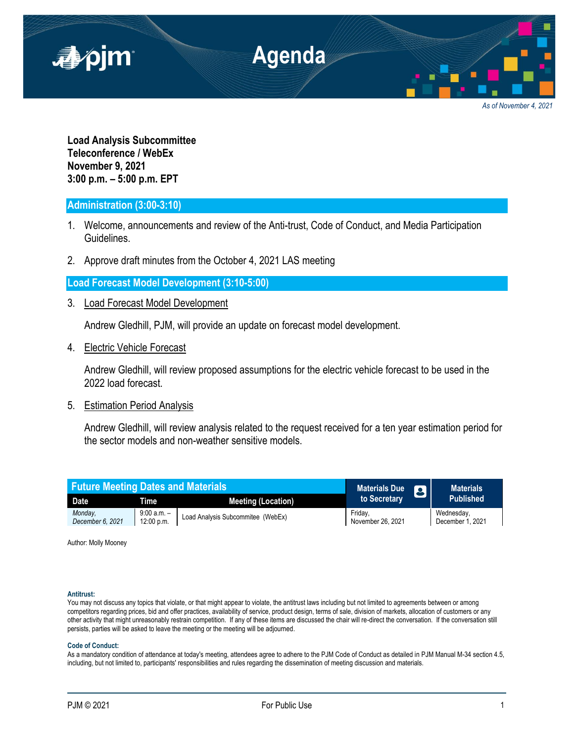

*As of November 4, 2021*

**Load Analysis Subcommittee Teleconference / WebEx November 9, 2021 3:00 p.m. – 5:00 p.m. EPT**

# **Administration (3:00-3:10)**

- 1. Welcome, announcements and review of the Anti-trust, Code of Conduct, and Media Participation Guidelines.
- 2. Approve draft minutes from the October 4, 2021 LAS meeting

**Load Forecast Model Development (3:10-5:00)**

3. Load Forecast Model Development

Andrew Gledhill, PJM, will provide an update on forecast model development.

4. Electric Vehicle Forecast

Andrew Gledhill, will review proposed assumptions for the electric vehicle forecast to be used in the 2022 load forecast.

5. Estimation Period Analysis

Andrew Gledhill, will review analysis related to the request received for a ten year estimation period for the sector models and non-weather sensitive models.

| <b>Future Meeting Dates and Materials</b> |                           |                                   | <b>Materials Due</b><br>$\mathbf{p}$ | <b>Materials</b>               |
|-------------------------------------------|---------------------------|-----------------------------------|--------------------------------------|--------------------------------|
| <b>Date</b>                               | Time                      | <b>Meeting (Location)</b>         | to Secretary                         | <b>Published</b>               |
| Monday.<br>December 6, 2021               | 9:00 a.m. –<br>12:00 p.m. | Load Analysis Subcommitee (WebEx) | Fridav.<br>November 26, 2021         | Wednesday,<br>December 1, 2021 |

Author: Molly Mooney

# **Antitrust:**

You may not discuss any topics that violate, or that might appear to violate, the antitrust laws including but not limited to agreements between or among competitors regarding prices, bid and offer practices, availability of service, product design, terms of sale, division of markets, allocation of customers or any other activity that might unreasonably restrain competition. If any of these items are discussed the chair will re-direct the conversation. If the conversation still persists, parties will be asked to leave the meeting or the meeting will be adjourned.

## **Code of Conduct:**

As a mandatory condition of attendance at today's meeting, attendees agree to adhere to the PJM Code of Conduct as detailed in PJM Manual M-34 section 4.5, including, but not limited to, participants' responsibilities and rules regarding the dissemination of meeting discussion and materials.